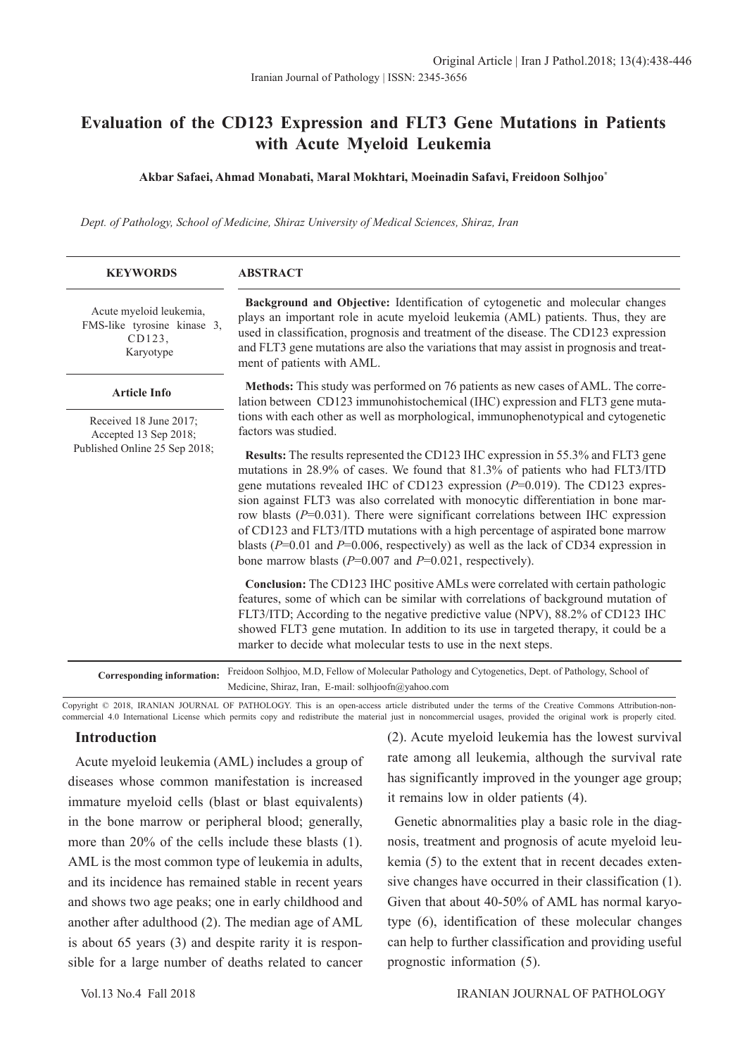# **Evaluation of the CD123 Expression and FLT3 Gene Mutations in Patients with Acute Myeloid Leukemia**

#### **Akbar Safaei, Ahmad Monabati, Maral Mokhtari, Moeinadin Safavi, Freidoon Solhjoo\***

*Dept. of Pathology, School of Medicine, Shiraz University of Medical Sciences, Shiraz, Iran*

| <b>KEYWORDS</b>                                                                  | <b>ABSTRACT</b>                                                                                                                                                                                                                                                                                                                                                                                                                                                                                                                                                                                                                                                                            |  |  |  |  |
|----------------------------------------------------------------------------------|--------------------------------------------------------------------------------------------------------------------------------------------------------------------------------------------------------------------------------------------------------------------------------------------------------------------------------------------------------------------------------------------------------------------------------------------------------------------------------------------------------------------------------------------------------------------------------------------------------------------------------------------------------------------------------------------|--|--|--|--|
| Acute myeloid leukemia,<br>FMS-like tyrosine kinase 3,<br>CD123.<br>Karyotype    | Background and Objective: Identification of cytogenetic and molecular changes<br>plays an important role in acute myeloid leukemia (AML) patients. Thus, they are<br>used in classification, prognosis and treatment of the disease. The CD123 expression<br>and FLT3 gene mutations are also the variations that may assist in prognosis and treat-<br>ment of patients with AML.                                                                                                                                                                                                                                                                                                         |  |  |  |  |
| <b>Article Info</b>                                                              | Methods: This study was performed on 76 patients as new cases of AML. The corre-<br>lation between CD123 immunohistochemical (IHC) expression and FLT3 gene muta-                                                                                                                                                                                                                                                                                                                                                                                                                                                                                                                          |  |  |  |  |
| Received 18 June 2017;<br>Accepted 13 Sep 2018;<br>Published Online 25 Sep 2018; | tions with each other as well as morphological, immunophenotypical and cytogenetic<br>factors was studied.                                                                                                                                                                                                                                                                                                                                                                                                                                                                                                                                                                                 |  |  |  |  |
|                                                                                  | <b>Results:</b> The results represented the CD123 IHC expression in 55.3% and FLT3 gene<br>mutations in 28.9% of cases. We found that 81.3% of patients who had FLT3/ITD<br>gene mutations revealed IHC of CD123 expression ( $P=0.019$ ). The CD123 expres-<br>sion against FLT3 was also correlated with monocytic differentiation in bone mar-<br>row blasts ( $P=0.031$ ). There were significant correlations between IHC expression<br>of CD123 and FLT3/ITD mutations with a high percentage of aspirated bone marrow<br>blasts ( $P=0.01$ and $P=0.006$ , respectively) as well as the lack of CD34 expression in<br>bone marrow blasts ( $P=0.007$ and $P=0.021$ , respectively). |  |  |  |  |
|                                                                                  | Conclusion: The CD123 IHC positive AMLs were correlated with certain pathologic<br>features, some of which can be similar with correlations of background mutation of<br>FLT3/ITD; According to the negative predictive value (NPV), 88.2% of CD123 IHC<br>showed FLT3 gene mutation. In addition to its use in targeted therapy, it could be a<br>marker to decide what molecular tests to use in the next steps.                                                                                                                                                                                                                                                                         |  |  |  |  |
| <b>Corresponding information:</b>                                                | Freidoon Solhjoo, M.D, Fellow of Molecular Pathology and Cytogenetics, Dept. of Pathology, School of                                                                                                                                                                                                                                                                                                                                                                                                                                                                                                                                                                                       |  |  |  |  |

Medicine, Shiraz, Iran, E-mail: solhjoofn@yahoo.com

Copyright © 2018, IRANIAN JOURNAL OF PATHOLOGY. This is an open-access article distributed under the terms of the Creative Commons Attribution-noncommercial 4.0 International License which permits copy and redistribute the material just in noncommercial usages, provided the original work is properly cited.

## **Introduction**

Acute myeloid leukemia (AML) includes a group of diseases whose common manifestation is increased immature myeloid cells (blast or blast equivalents) in the bone marrow or peripheral blood; generally, more than 20% of the cells include these blasts (1). AML is the most common type of leukemia in adults, and its incidence has remained stable in recent years and shows two age peaks; one in early childhood and another after adulthood (2). The median age of AML is about 65 years (3) and despite rarity it is responsible for a large number of deaths related to cancer

(2). Acute myeloid leukemia has the lowest survival rate among all leukemia, although the survival rate has significantly improved in the younger age group; it remains low in older patients (4).

Genetic abnormalities play a basic role in the diagnosis, treatment and prognosis of acute myeloid leukemia (5) to the extent that in recent decades extensive changes have occurred in their classification (1). Given that about 40-50% of AML has normal karyotype (6), identification of these molecular changes can help to further classification and providing useful prognostic information (5).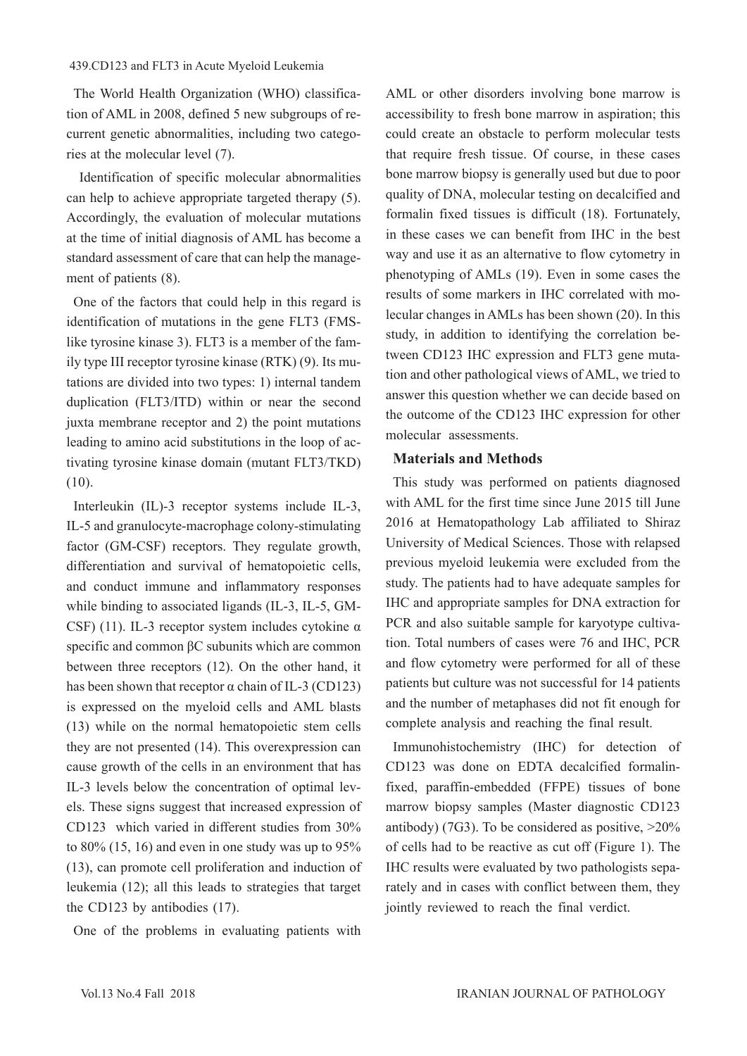#### 439.CD123 and FLT3 in Acute Myeloid Leukemia

The World Health Organization (WHO) classification of AML in 2008, defined 5 new subgroups of recurrent genetic abnormalities, including two categories at the molecular level (7).

 Identification of specific molecular abnormalities can help to achieve appropriate targeted therapy (5). Accordingly, the evaluation of molecular mutations at the time of initial diagnosis of AML has become a standard assessment of care that can help the management of patients (8).

One of the factors that could help in this regard is identification of mutations in the gene FLT3 (FMSlike tyrosine kinase 3). FLT3 is a member of the family type III receptor tyrosine kinase (RTK) (9). Its mutations are divided into two types: 1) internal tandem duplication (FLT3/ITD) within or near the second juxta membrane receptor and 2) the point mutations leading to amino acid substitutions in the loop of activating tyrosine kinase domain (mutant FLT3/TKD) (10).

Interleukin (IL)-3 receptor systems include IL-3, IL-5 and granulocyte-macrophage colony-stimulating factor (GM-CSF) receptors. They regulate growth, differentiation and survival of hematopoietic cells, and conduct immune and inflammatory responses while binding to associated ligands (IL-3, IL-5, GM-CSF) (11). IL-3 receptor system includes cytokine  $\alpha$ specific and common βC subunits which are common between three receptors (12). On the other hand, it has been shown that receptor  $\alpha$  chain of IL-3 (CD123) is expressed on the myeloid cells and AML blasts (13) while on the normal hematopoietic stem cells they are not presented (14). This overexpression can cause growth of the cells in an environment that has IL-3 levels below the concentration of optimal levels. These signs suggest that increased expression of CD123 which varied in different studies from 30% to  $80\%$  (15, 16) and even in one study was up to  $95\%$ (13), can promote cell proliferation and induction of leukemia (12); all this leads to strategies that target the CD123 by antibodies (17).

One of the problems in evaluating patients with

AML or other disorders involving bone marrow is accessibility to fresh bone marrow in aspiration; this could create an obstacle to perform molecular tests that require fresh tissue. Of course, in these cases bone marrow biopsy is generally used but due to poor quality of DNA, molecular testing on decalcified and formalin fixed tissues is difficult (18). Fortunately, in these cases we can benefit from IHC in the best way and use it as an alternative to flow cytometry in phenotyping of AMLs (19). Even in some cases the results of some markers in IHC correlated with molecular changes in AMLs has been shown (20). In this study, in addition to identifying the correlation between CD123 IHC expression and FLT3 gene mutation and other pathological views of AML, we tried to answer this question whether we can decide based on the outcome of the CD123 IHC expression for other molecular assessments.

## **Materials and Methods**

This study was performed on patients diagnosed with AML for the first time since June 2015 till June 2016 at Hematopathology Lab affiliated to Shiraz University of Medical Sciences. Those with relapsed previous myeloid leukemia were excluded from the study. The patients had to have adequate samples for IHC and appropriate samples for DNA extraction for PCR and also suitable sample for karyotype cultivation. Total numbers of cases were 76 and IHC, PCR and flow cytometry were performed for all of these patients but culture was not successful for 14 patients and the number of metaphases did not fit enough for complete analysis and reaching the final result.

Immunohistochemistry (IHC) for detection of CD123 was done on EDTA decalcified formalinfixed, paraffin-embedded (FFPE) tissues of bone marrow biopsy samples (Master diagnostic CD123 antibody) (7G3). To be considered as positive,  $>20\%$ of cells had to be reactive as cut off (Figure 1). The IHC results were evaluated by two pathologists separately and in cases with conflict between them, they jointly reviewed to reach the final verdict.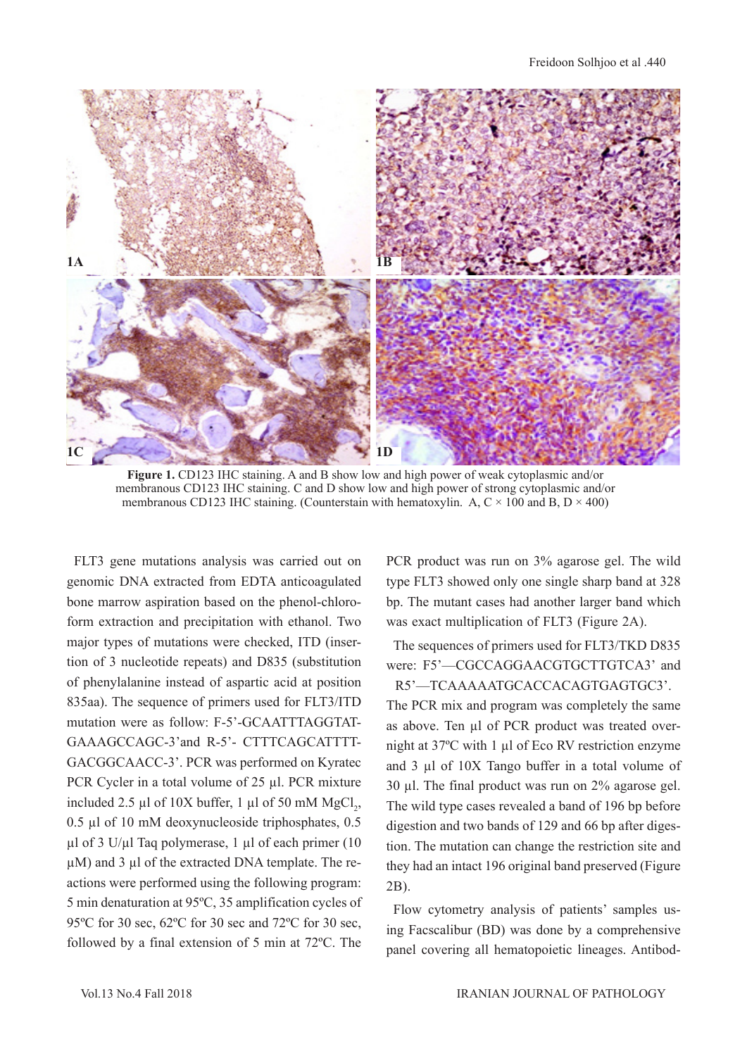

**Figure 1.** CD123 IHC staining. A and B show low and high power of weak cytoplasmic and/or membranous CD123 IHC staining. C and D show low and high power of strong cytoplasmic and/or membranous CD123 IHC staining. (Counterstain with hematoxylin. A,  $C \times 100$  and B,  $D \times 400$ )

FLT3 gene mutations analysis was carried out on genomic DNA extracted from EDTA anticoagulated bone marrow aspiration based on the phenol-chloroform extraction and precipitation with ethanol. Two major types of mutations were checked, ITD (insertion of 3 nucleotide repeats) and D835 (substitution of phenylalanine instead of aspartic acid at position 835aa). The sequence of primers used for FLT3/ITD mutation were as follow: F-5'-GCAATTTAGGTAT-GAAAGCCAGC-3'and R-5'- CTTTCAGCATTTT-GACGGCAACC-3'. PCR was performed on Kyratec PCR Cycler in a total volume of 25 µl. PCR mixture included 2.5  $\mu$ l of 10X buffer, 1  $\mu$ l of 50 mM MgCl<sub>2</sub>, 0.5 µl of 10 mM deoxynucleoside triphosphates, 0.5 µl of 3 U/µl Taq polymerase, 1 µl of each primer (10  $\mu$ M) and 3  $\mu$ l of the extracted DNA template. The reactions were performed using the following program: 5 min denaturation at 95ºC, 35 amplification cycles of 95ºC for 30 sec, 62ºC for 30 sec and 72ºC for 30 sec, followed by a final extension of 5 min at 72ºC. The

PCR product was run on 3% agarose gel. The wild type FLT3 showed only one single sharp band at 328 bp. The mutant cases had another larger band which was exact multiplication of FLT3 (Figure 2A).

The sequences of primers used for FLT3/TKD D835 were: F5'—CGCCAGGAACGTGCTTGTCA3' and R5'—TCAAAAATGCACCACAGTGAGTGC3'.

The PCR mix and program was completely the same as above. Ten µl of PCR product was treated overnight at 37ºC with 1 µl of Eco RV restriction enzyme and 3 µl of 10X Tango buffer in a total volume of 30 µl. The final product was run on 2% agarose gel. The wild type cases revealed a band of 196 bp before digestion and two bands of 129 and 66 bp after digestion. The mutation can change the restriction site and they had an intact 196 original band preserved (Figure 2B).

Flow cytometry analysis of patients' samples using Facscalibur (BD) was done by a comprehensive panel covering all hematopoietic lineages. Antibod-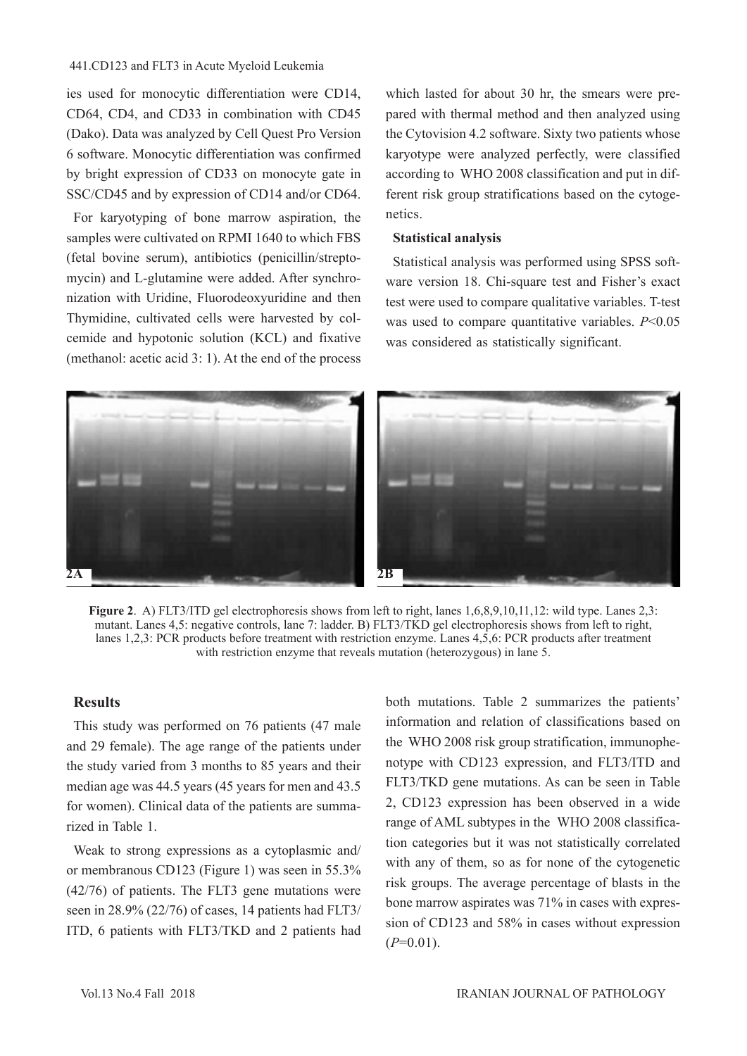#### 441.CD123 and FLT3 in Acute Myeloid Leukemia

ies used for monocytic differentiation were CD14, CD64, CD4, and CD33 in combination with CD45 (Dako). Data was analyzed by Cell Quest Pro Version 6 software. Monocytic differentiation was confirmed by bright expression of CD33 on monocyte gate in SSC/CD45 and by expression of CD14 and/or CD64.

For karyotyping of bone marrow aspiration, the samples were cultivated on RPMI 1640 to which FBS (fetal bovine serum), antibiotics (penicillin/streptomycin) and L-glutamine were added. After synchronization with Uridine, Fluorodeoxyuridine and then Thymidine, cultivated cells were harvested by colcemide and hypotonic solution (KCL) and fixative (methanol: acetic acid 3: 1). At the end of the process which lasted for about 30 hr, the smears were prepared with thermal method and then analyzed using the Cytovision 4.2 software. Sixty two patients whose karyotype were analyzed perfectly, were classified according to WHO 2008 classification and put in different risk group stratifications based on the cytogenetics.

## **Statistical analysis**

Statistical analysis was performed using SPSS software version 18. Chi-square test and Fisher's exact test were used to compare qualitative variables. T-test was used to compare quantitative variables. *P*<0.05 was considered as statistically significant.



**Figure 2**. A) FLT3/ITD gel electrophoresis shows from left to right, lanes 1,6,8,9,10,11,12: wild type. Lanes 2,3: mutant. Lanes 4,5: negative controls, lane 7: ladder. B) FLT3/TKD gel electrophoresis shows from left to right, lanes 1,2,3: PCR products before treatment with restriction enzyme. Lanes 4,5,6: PCR products after treatment with restriction enzyme that reveals mutation (heterozygous) in lane 5.

## **Results**

This study was performed on 76 patients (47 male and 29 female). The age range of the patients under the study varied from 3 months to 85 years and their median age was 44.5 years (45 years for men and 43.5 for women). Clinical data of the patients are summarized in Table 1.

Weak to strong expressions as a cytoplasmic and/ or membranous CD123 (Figure 1) was seen in 55.3% (42/76) of patients. The FLT3 gene mutations were seen in 28.9% (22/76) of cases, 14 patients had FLT3/ ITD, 6 patients with FLT3/TKD and 2 patients had

both mutations. Table 2 summarizes the patients' information and relation of classifications based on the WHO 2008 risk group stratification, immunophenotype with CD123 expression, and FLT3/ITD and FLT3/TKD gene mutations. As can be seen in Table 2, CD123 expression has been observed in a wide range of AML subtypes in the WHO 2008 classification categories but it was not statistically correlated with any of them, so as for none of the cytogenetic risk groups. The average percentage of blasts in the bone marrow aspirates was 71% in cases with expression of CD123 and 58% in cases without expression  $(P=0.01)$ .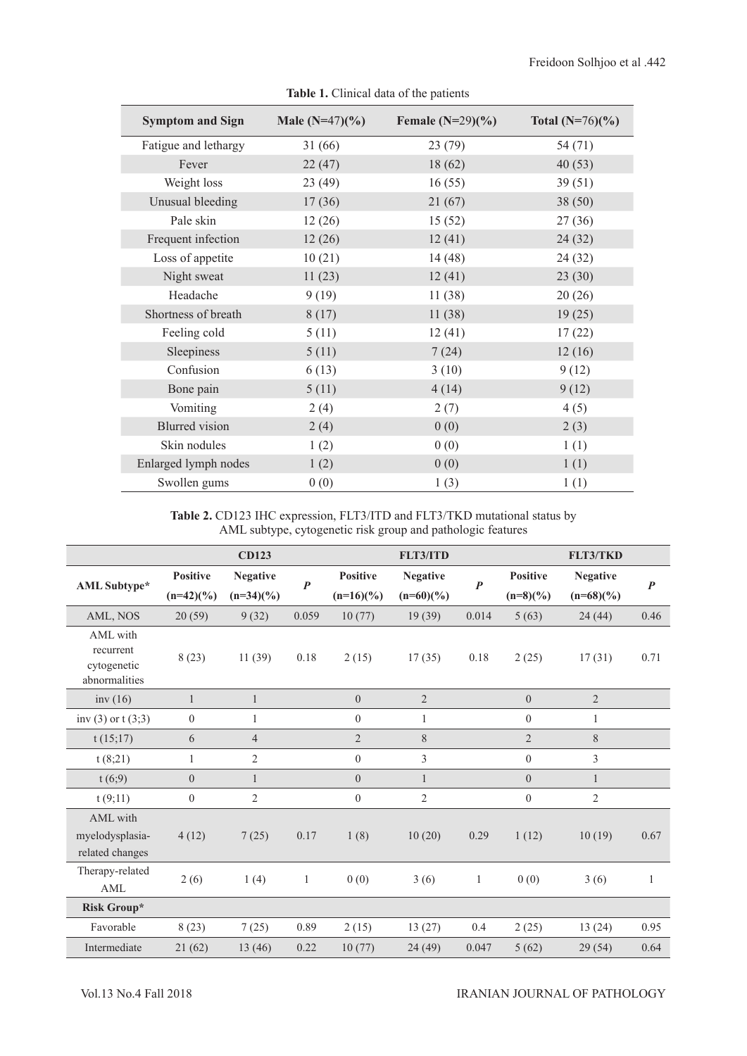| <b>Symptom and Sign</b> | Male $(N=47)(\%)$ | Female $(N=29)(\%)$ | Total $(N=76)(\%)$ |
|-------------------------|-------------------|---------------------|--------------------|
| Fatigue and lethargy    | 31(66)            | 23(79)              | 54 (71)            |
| Fever                   | 22(47)            | 18(62)              | 40(53)             |
| Weight loss             | 23(49)            | 16(55)              | 39(51)             |
| Unusual bleeding        | 17(36)            | 21(67)              | 38(50)             |
| Pale skin               | 12(26)            | 15(52)              | 27(36)             |
| Frequent infection      | 12(26)            | 12(41)              | 24(32)             |
| Loss of appetite        | 10(21)            | 14(48)              | 24(32)             |
| Night sweat             | 11(23)            | 12(41)              | 23(30)             |
| Headache                | 9(19)             | 11(38)              | 20(26)             |
| Shortness of breath     | 8(17)             | 11(38)              | 19(25)             |
| Feeling cold            | 5(11)             | 12(41)              | 17(22)             |
| Sleepiness              | 5(11)             | 7(24)               | 12(16)             |
| Confusion               | 6(13)             | 3(10)               | 9(12)              |
| Bone pain               | 5(11)             | 4(14)               | 9(12)              |
| Vomiting                | 2(4)              | 2(7)                | 4(5)               |
| <b>Blurred</b> vision   | 2(4)              | 0(0)                | 2(3)               |
| Skin nodules            | 1(2)              | 0(0)                | 1(1)               |
| Enlarged lymph nodes    | 1(2)              | 0(0)                | 1(1)               |
| Swollen gums            | 0(0)              | 1(3)                | 1(1)               |

**Table 1.** Clinical data of the patients

**Table 2.** CD123 IHC expression, FLT3/ITD and FLT3/TKD mutational status by AML subtype, cytogenetic risk group and pathologic features

|                                                       |                 | <b>CD123</b>    |                  |                  | <b>FLT3/ITD</b> |                  |                 | <b>FLT3/TKD</b> |                  |
|-------------------------------------------------------|-----------------|-----------------|------------------|------------------|-----------------|------------------|-----------------|-----------------|------------------|
| <b>AML</b> Subtype*                                   | <b>Positive</b> | <b>Negative</b> | $\boldsymbol{P}$ | <b>Positive</b>  | <b>Negative</b> | $\boldsymbol{P}$ | <b>Positive</b> | <b>Negative</b> | $\boldsymbol{P}$ |
|                                                       | $(n=42)(%$      | $(n=34)(\%)$    |                  | $(n=16)(%$       | $(n=60)(\%)$    |                  | $(n=8)(\%)$     | $(n=68)(\%)$    |                  |
| AML, NOS                                              | 20(59)          | 9(32)           | 0.059            | 10(77)           | 19(39)          | 0.014            | 5(63)           | 24(44)          | 0.46             |
| AML with<br>recurrent<br>cytogenetic<br>abnormalities | 8(23)           | 11(39)          | 0.18             | 2(15)            | 17(35)          | 0.18             | 2(25)           | 17(31)          | 0.71             |
| inv $(16)$                                            | $\mathbf{1}$    | $\mathbf{1}$    |                  | $\overline{0}$   | $\overline{2}$  |                  | $\overline{0}$  | $\overline{2}$  |                  |
| inv (3) or $t(3,3)$                                   | $\mathbf{0}$    | 1               |                  | $\mathbf{0}$     | 1               |                  | $\theta$        | 1               |                  |
| t(15;17)                                              | 6               | $\overline{4}$  |                  | $\overline{2}$   | 8               |                  | $\overline{2}$  | 8               |                  |
| t(8;21)                                               | 1               | $\overline{2}$  |                  | $\mathbf{0}$     | 3               |                  | $\overline{0}$  | 3               |                  |
| t(6,9)                                                | $\overline{0}$  | 1               |                  | $\theta$         | $\mathbf{1}$    |                  | $\overline{0}$  | $\mathbf{1}$    |                  |
| t(9;11)                                               | $\mathbf{0}$    | $\mathfrak{2}$  |                  | $\boldsymbol{0}$ | $\overline{2}$  |                  | $\overline{0}$  | $\mathfrak{2}$  |                  |
| AML with<br>myelodysplasia-<br>related changes        | 4(12)           | 7(25)           | 0.17             | 1(8)             | 10(20)          | 0.29             | 1(12)           | 10(19)          | 0.67             |
| Therapy-related<br><b>AML</b>                         | 2(6)            | 1(4)            | $\mathbf{1}$     | 0(0)             | 3(6)            | $\mathbf{1}$     | 0(0)            | 3(6)            | $\mathbf{1}$     |
| Risk Group*                                           |                 |                 |                  |                  |                 |                  |                 |                 |                  |
| Favorable                                             | 8(23)           | 7(25)           | 0.89             | 2(15)            | 13(27)          | 0.4              | 2(25)           | 13(24)          | 0.95             |
| Intermediate                                          | 21(62)          | 13(46)          | 0.22             | 10(77)           | 24 (49)         | 0.047            | 5(62)           | 29(54)          | 0.64             |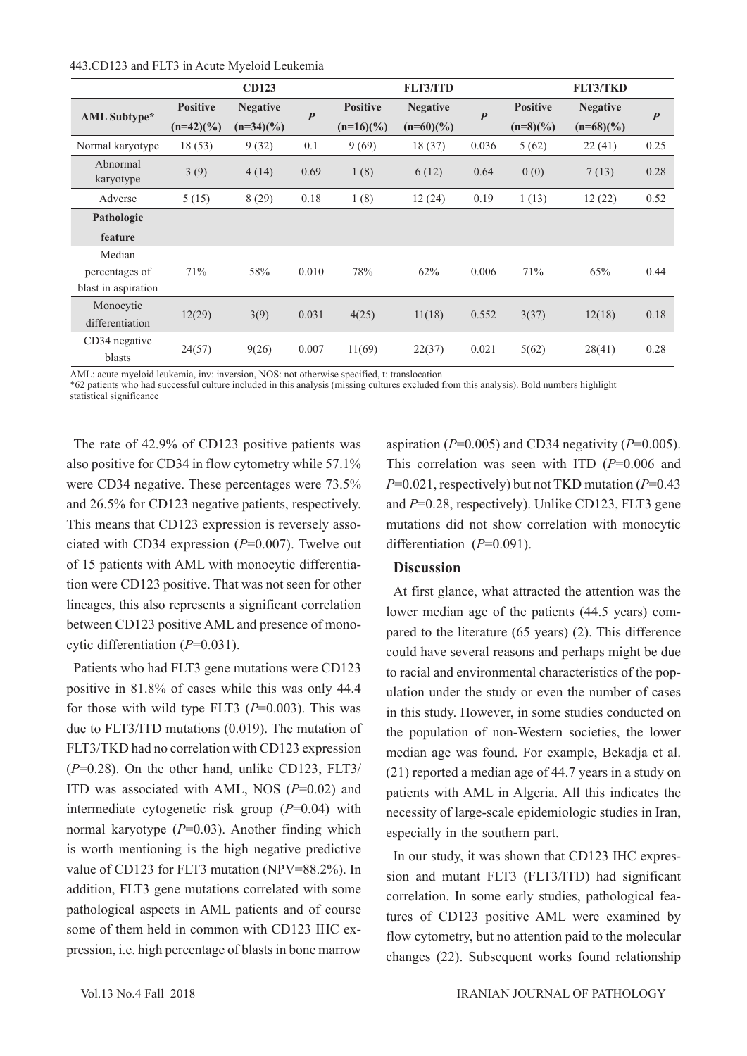#### 443.CD123 and FLT3 in Acute Myeloid Leukemia

|                       |                 | <b>CD123</b>    |                  |                 | <b>FLT3/ITD</b> |                  |                 | <b>FLT3/TKD</b> |                  |
|-----------------------|-----------------|-----------------|------------------|-----------------|-----------------|------------------|-----------------|-----------------|------------------|
| <b>AML</b> Subtype*   | <b>Positive</b> | <b>Negative</b> | $\boldsymbol{P}$ | <b>Positive</b> | <b>Negative</b> | $\boldsymbol{P}$ | <b>Positive</b> | <b>Negative</b> | $\boldsymbol{P}$ |
|                       | $(n=42)(\%)$    | $(n=34)(\%)$    |                  | $(n=16)(%$      | $(n=60)(\%)$    |                  | $(n=8)(\%)$     | $(n=68)(\%)$    |                  |
| Normal karyotype      | 18(53)          | 9(32)           | 0.1              | 9(69)           | 18(37)          | 0.036            | 5(62)           | 22(41)          | 0.25             |
| Abnormal<br>karyotype | 3(9)            | 4(14)           | 0.69             | 1(8)            | 6(12)           | 0.64             | 0(0)            | 7(13)           | 0.28             |
| Adverse               | 5(15)           | 8(29)           | 0.18             | 1(8)            | 12(24)          | 0.19             | 1(13)           | 12(22)          | 0.52             |
| Pathologic            |                 |                 |                  |                 |                 |                  |                 |                 |                  |
| feature               |                 |                 |                  |                 |                 |                  |                 |                 |                  |
| Median                |                 |                 |                  |                 |                 |                  |                 |                 |                  |
| percentages of        | 71%             | 58%             | 0.010            | 78%             | 62%             | 0.006            | 71%             | 65%             | 0.44             |
| blast in aspiration   |                 |                 |                  |                 |                 |                  |                 |                 |                  |
| Monocytic             | 12(29)          |                 | 0.031            | 4(25)           | 11(18)          | 0.552            | 3(37)           | 12(18)          | 0.18             |
| differentiation       |                 | 3(9)            |                  |                 |                 |                  |                 |                 |                  |
| CD34 negative         | 24(57)          | 9(26)           | 0.007            | 11(69)          | 22(37)          | 0.021            |                 | 28(41)          | 0.28             |
| blasts                |                 |                 |                  |                 |                 |                  | 5(62)           |                 |                  |

AML: acute myeloid leukemia, inv: inversion, NOS: not otherwise specified, t: translocation

\*62 patients who had successful culture included in this analysis (missing cultures excluded from this analysis). Bold numbers highlight statistical significance

The rate of 42.9% of CD123 positive patients was also positive for CD34 in flow cytometry while 57.1% were CD34 negative. These percentages were 73.5% and 26.5% for CD123 negative patients, respectively. This means that CD123 expression is reversely associated with CD34 expression (*P*=0.007). Twelve out of 15 patients with AML with monocytic differentiation were CD123 positive. That was not seen for other lineages, this also represents a significant correlation between CD123 positive AML and presence of monocytic differentiation (*P*=0.031).

Patients who had FLT3 gene mutations were CD123 positive in 81.8% of cases while this was only 44.4 for those with wild type FLT3 (*P*=0.003). This was due to FLT3/ITD mutations (0.019). The mutation of FLT3/TKD had no correlation with CD123 expression (*P*=0.28). On the other hand, unlike CD123, FLT3/ ITD was associated with AML, NOS (*P*=0.02) and intermediate cytogenetic risk group (*P*=0.04) with normal karyotype (*P*=0.03). Another finding which is worth mentioning is the high negative predictive value of CD123 for FLT3 mutation (NPV=88.2%). In addition, FLT3 gene mutations correlated with some pathological aspects in AML patients and of course some of them held in common with CD123 IHC expression, i.e. high percentage of blasts in bone marrow

aspiration ( $P=0.005$ ) and CD34 negativity ( $P=0.005$ ). This correlation was seen with ITD (*P*=0.006 and *P*=0.021, respectively) but not TKD mutation (*P*=0.43 and *P*=0.28, respectively). Unlike CD123, FLT3 gene mutations did not show correlation with monocytic differentiation (*P*=0.091).

## **Discussion**

At first glance, what attracted the attention was the lower median age of the patients (44.5 years) compared to the literature (65 years) (2). This difference could have several reasons and perhaps might be due to racial and environmental characteristics of the population under the study or even the number of cases in this study. However, in some studies conducted on the population of non-Western societies, the lower median age was found. For example, Bekadja et al. (21) reported a median age of 44.7 years in a study on patients with AML in Algeria. All this indicates the necessity of large-scale epidemiologic studies in Iran, especially in the southern part.

In our study, it was shown that CD123 IHC expression and mutant FLT3 (FLT3/ITD) had significant correlation. In some early studies, pathological features of CD123 positive AML were examined by flow cytometry, but no attention paid to the molecular changes (22). Subsequent works found relationship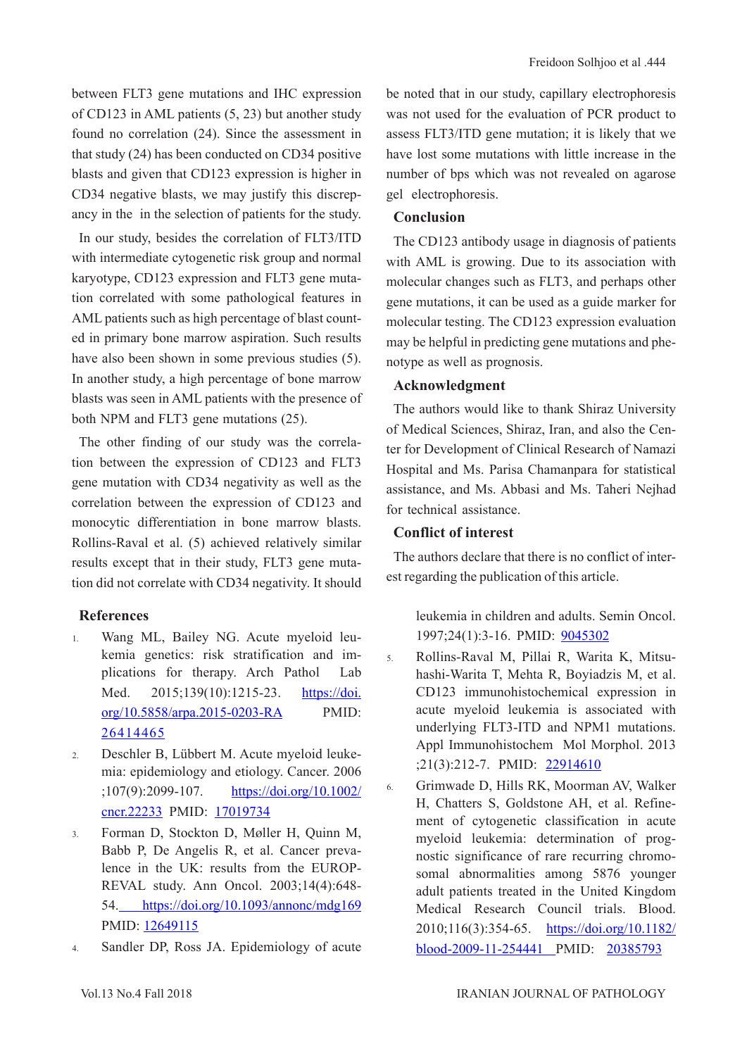between FLT3 gene mutations and IHC expression of CD123 in AML patients (5, 23) but another study found no correlation (24). Since the assessment in that study (24) has been conducted on CD34 positive blasts and given that CD123 expression is higher in CD34 negative blasts, we may justify this discrepancy in the in the selection of patients for the study.

In our study, besides the correlation of FLT3/ITD with intermediate cytogenetic risk group and normal karyotype, CD123 expression and FLT3 gene mutation correlated with some pathological features in AML patients such as high percentage of blast counted in primary bone marrow aspiration. Such results have also been shown in some previous studies (5). In another study, a high percentage of bone marrow blasts was seen in AML patients with the presence of both NPM and FLT3 gene mutations (25).

The other finding of our study was the correlation between the expression of CD123 and FLT3 gene mutation with CD34 negativity as well as the correlation between the expression of CD123 and monocytic differentiation in bone marrow blasts. Rollins-Raval et al. (5) achieved relatively similar results except that in their study, FLT3 gene mutation did not correlate with CD34 negativity. It should

## **References**

- 1. Wang ML, Bailey NG. Acute myeloid leukemia genetics: risk stratification and implications for therapy. Arch Pathol Lab Med. 2015;139(10):1215-23. [https://doi.](http://www.archivesofpathology.org/doi/10.5858/arpa.2015-0203-RA?code=coap-site) [org/10.5858/arpa.2015-0203-RA](http://www.archivesofpathology.org/doi/10.5858/arpa.2015-0203-RA?code=coap-site) PMID: [26414465](https://www.ncbi.nlm.nih.gov/pubmed/26414465)
- 2. Deschler B, Lübbert M. Acute myeloid leukemia: epidemiology and etiology. Cancer. 2006 ;107(9):2099-107. [https://doi.org/10.1002/](https://onlinelibrary.wiley.com/doi/abs/10.1002/cncr.22233) [cncr.22233](https://onlinelibrary.wiley.com/doi/abs/10.1002/cncr.22233) PMID: [17019734](https://www.ncbi.nlm.nih.gov/pubmed/17019734)
- 3. Forman D, Stockton D, Møller H, Quinn M, Babb P, De Angelis R, et al. Cancer prevalence in the UK: results from the EUROP-REVAL study. Ann Oncol. 2003;14(4):648- 54. [https://doi.org/10.1093/annonc/mdg169](https://academic.oup.com/annonc/article/14/4/648/171508) PMID: [12649115](https://www.ncbi.nlm.nih.gov/pubmed/12649115)
- 4. Sandler DP, Ross JA. Epidemiology of acute

be noted that in our study, capillary electrophoresis was not used for the evaluation of PCR product to assess FLT3/ITD gene mutation; it is likely that we have lost some mutations with little increase in the number of bps which was not revealed on agarose gel electrophoresis.

## **Conclusion**

The CD123 antibody usage in diagnosis of patients with AML is growing. Due to its association with molecular changes such as FLT3, and perhaps other gene mutations, it can be used as a guide marker for molecular testing. The CD123 expression evaluation may be helpful in predicting gene mutations and phenotype as well as prognosis.

# **Acknowledgment**

The authors would like to thank Shiraz University of Medical Sciences, Shiraz, Iran, and also the Center for Development of Clinical Research of Namazi Hospital and Ms. Parisa Chamanpara for statistical assistance, and Ms. Abbasi and Ms. Taheri Nejhad for technical assistance.

# **Conflict of interest**

The authors declare that there is no conflict of interest regarding the publication of this article.

> leukemia in children and adults. Semin Oncol. 1997;24(1):3-16. PMID: [9045302](https://www.ncbi.nlm.nih.gov/pubmed/9045302)

- 5. Rollins-Raval M, Pillai R, Warita K, Mitsuhashi-Warita T, Mehta R, Boyiadzis M, et al. CD123 immunohistochemical expression in acute myeloid leukemia is associated with underlying FLT3-ITD and NPM1 mutations. Appl Immunohistochem Mol Morphol. 2013 ;21(3):212-7. PMID: [22914610](https://www.ncbi.nlm.nih.gov/pubmed/22914610)
- 6. Grimwade D, Hills RK, Moorman AV, Walker H, Chatters S, Goldstone AH, et al. Refinement of cytogenetic classification in acute myeloid leukemia: determination of prognostic significance of rare recurring chromosomal abnormalities among 5876 younger adult patients treated in the United Kingdom Medical Research Council trials. Blood. 2010;116(3):354-65. [https://doi.org/10.1182/](http://www.bloodjournal.org/content/116/3/354?sso-checked=true) [blood-2009-11-254441](http://www.bloodjournal.org/content/116/3/354?sso-checked=true) PMID: [20385793](https://www.ncbi.nlm.nih.gov/pubmed/20385793)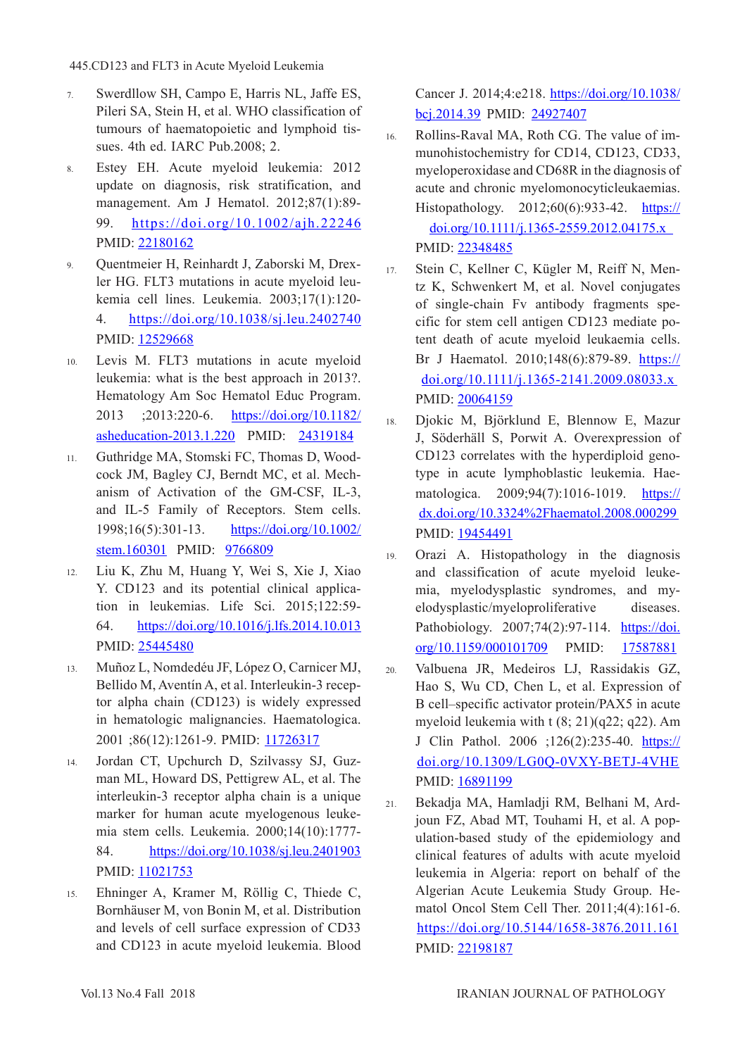- 7. Swerdllow SH, Campo E, Harris NL, Jaffe ES, Pileri SA, Stein H, et al. WHO classification of tumours of haematopoietic and lymphoid tissues. 4th ed. IARC Pub.2008; 2.
- 8. Estey EH. Acute myeloid leukemia: 2012 update on diagnosis, risk stratification, and management. Am J Hematol. 2012;87(1):89- 99. [https://doi.org/10.1002/ajh.22246](https://onlinelibrary.wiley.com/doi/abs/10.1002/ajh.22246)  PMID: [22180162](https://www.ncbi.nlm.nih.gov/pubmed/22180162)
- 9. Quentmeier H, Reinhardt J, Zaborski M, Drexler HG. FLT3 mutations in acute myeloid leukemia cell lines. Leukemia. 2003;17(1):120- 4. [https://doi.org/10.1038/sj.leu.2402740](https://www.nature.com/articles/2402740)  PMID: [12529668](https://www.ncbi.nlm.nih.gov/pubmed/12529668)
- 10. Levis M. FLT3 mutations in acute myeloid leukemia: what is the best approach in 2013?. Hematology Am Soc Hematol Educ Program. 2013 ;2013:220-6. [https://doi.org/10.1182/](http://asheducationbook.hematologylibrary.org/content/2013/1/220) [asheducation-2013.1.220](http://asheducationbook.hematologylibrary.org/content/2013/1/220) PMID: [24319184](https://www.ncbi.nlm.nih.gov/pubmed/24319184)
- 11. Guthridge MA, Stomski FC, Thomas D, Woodcock JM, Bagley CJ, Berndt MC, et al. Mechanism of Activation of the GM‐CSF, IL‐3, and IL‐5 Family of Receptors. Stem cells. 1998;16(5):301-13. [https://doi.org/10.1002/](https://stemcellsjournals.onlinelibrary.wiley.com/doi/abs/10.1002/stem.160301) [stem.160301](https://stemcellsjournals.onlinelibrary.wiley.com/doi/abs/10.1002/stem.160301) PMID: [9766809](https://www.ncbi.nlm.nih.gov/pubmed/9766809)
- 12. Liu K, Zhu M, Huang Y, Wei S, Xie J, Xiao Y. CD123 and its potential clinical application in leukemias. Life Sci. 2015;122:59- 64. [https://doi.org/10.1016/j.lfs.2014.10.013](https://www.sciencedirect.com/science/article/pii/S0024320514008650?via%3Dihub) PMID: [25445480](https://www.ncbi.nlm.nih.gov/pubmed/25445480)
- 13. Muñoz L, Nomdedéu JF, López O, Carnicer MJ, Bellido M, Aventín A, et al. Interleukin-3 receptor alpha chain (CD123) is widely expressed in hematologic malignancies. Haematologica. 2001 ;86(12):1261-9. PMID: [11726317](https://www.ncbi.nlm.nih.gov/pubmed/11726317)
- 14. Jordan CT, Upchurch D, Szilvassy SJ, Guzman ML, Howard DS, Pettigrew AL, et al. The interleukin-3 receptor alpha chain is a unique marker for human acute myelogenous leukemia stem cells. Leukemia. 2000;14(10):1777- 84. [https://doi.org/10.1038/sj.leu.2401903](https://www.nature.com/articles/2401903)  PMID: [11021753](https://www.ncbi.nlm.nih.gov/pubmed/11021753)
- 15. Ehninger A, Kramer M, Röllig C, Thiede C, Bornhäuser M, von Bonin M, et al. Distribution and levels of cell surface expression of CD33 and CD123 in acute myeloid leukemia. Blood

Cancer J. 2014;4:e218. [https://doi.org/10.1038/](https://www.nature.com/articles/bcj201439) [bcj.2014.39](https://www.nature.com/articles/bcj201439) PMID: [24927407](https://www.ncbi.nlm.nih.gov/pubmed/24927407)

16. Rollins‐Raval MA, Roth CG. The value of immunohistochemistry for CD14, CD123, CD33, myeloperoxidase and CD68R in the diagnosis of acute and chronic myelomonocyticleukaemias. Histopathology. 2012;60(6):933-42. [https://](https://onlinelibrary.wiley.com/doi/abs/10.1111/j.1365-2559.2012.04175.x) [doi.org/10.1111/j.1365-2559.2012.04175.x](https://onlinelibrary.wiley.com/doi/abs/10.1111/j.1365-2559.2012.04175.x)  PMID: [22348485](https://www.ncbi.nlm.nih.gov/pubmed/22348485)

17. Stein C, Kellner C, Kügler M, Reiff N, Mentz K, Schwenkert M, et al. Novel conjugates of single‐chain Fv antibody fragments specific for stem cell antigen CD123 mediate potent death of acute myeloid leukaemia cells. Br J Haematol. 2010;148(6):879-89. [https://](https://onlinelibrary.wiley.com/doi/abs/10.1111/j.1365-2141.2009.08033.x) [doi.org/10.1111/j.1365-2141.2009.08033.x](https://onlinelibrary.wiley.com/doi/abs/10.1111/j.1365-2141.2009.08033.x)  PMID: [20064159](https://www.ncbi.nlm.nih.gov/pubmed/20064159)

- 18. Djokic M, Björklund E, Blennow E, Mazur J, Söderhäll S, Porwit A. Overexpression of CD123 correlates with the hyperdiploid genotype in acute lymphoblastic leukemia. Haematologica. 2009;94(7):1016-1019. [https://](http://www.haematologica.org/content/94/7/1016) [dx.doi.org/10.3324%2Fhaematol.2008.000299](http://www.haematologica.org/content/94/7/1016)  PMID: [19454491](https://www.ncbi.nlm.nih.gov/pubmed/19454491)
- 19. Orazi A. Histopathology in the diagnosis and classification of acute myeloid leukemia, myelodysplastic syndromes, and myelodysplastic/myeloproliferative diseases. Pathobiology. 2007;74(2):97-114. [https://doi.](https://www.karger.com/Article/Abstract/101709) [org/10.1159/000101709](https://www.karger.com/Article/Abstract/101709) PMID: [17587881](https://www.ncbi.nlm.nih.gov/pubmed/17587881)
- 20. Valbuena JR, Medeiros LJ, Rassidakis GZ, Hao S, Wu CD, Chen L, et al. Expression of B cell–specific activator protein/PAX5 in acute myeloid leukemia with t (8; 21)(q22; q22). Am J Clin Pathol. 2006 ;126(2):235-40. [https://](https://academic.oup.com/ajcp/article/126/2/235/1760117) [doi.org/10.1309/LG0Q-0VXY-BETJ-4VHE](https://academic.oup.com/ajcp/article/126/2/235/1760117)  PMID: [16891199](https://www.ncbi.nlm.nih.gov/pubmed/16891199)
- 21. Bekadja MA, Hamladji RM, Belhani M, Ardjoun FZ, Abad MT, Touhami H, et al. A population-based study of the epidemiology and clinical features of adults with acute myeloid leukemia in Algeria: report on behalf of the Algerian Acute Leukemia Study Group. Hematol Oncol Stem Cell Ther. 2011;4(4):161-6. [https://doi.org/10.5144/1658-3876.2011.161](https://www.sciencedirect.com/science/article/pii/S1658387611500032?via%3Dihub) PMID: [22198187](https://www.ncbi.nlm.nih.gov/pubmed/22198187)